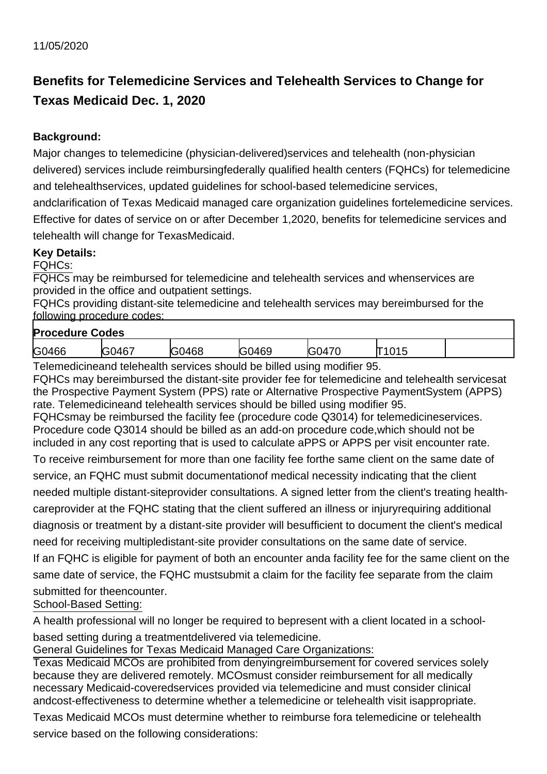## **Benefits for Telemedicine Services and Telehealth Services to Change for Texas Medicaid Dec. 1, 2020**

## **Background:**

Major changes to telemedicine (physician-delivered)services and telehealth (non-physician delivered) services include reimbursingfederally qualified health centers (FQHCs) for telemedicine and telehealthservices, updated guidelines for school-based telemedicine services,

andclarification of Texas Medicaid managed care organization guidelines fortelemedicine services. Effective for dates of service on or after December 1,2020, benefits for telemedicine services and telehealth will change for TexasMedicaid.

## **Key Details:**

FQHCs:

FQHCs may be reimbursed for telemedicine and telehealth services and whenservices are provided in the office and outpatient settings.

FQHCs providing distant-site telemedicine and telehealth services may bereimbursed for the following procedure codes:

| <b>Procedure Codes</b> |  |  |
|------------------------|--|--|
|                        |  |  |

| .     |                                          |             |             |                        |            |  |  |  |  |
|-------|------------------------------------------|-------------|-------------|------------------------|------------|--|--|--|--|
| G0466 | $\mathbf{A}$<br>$\Delta F$<br>- 1<br>TV. | .116C<br>ЮC | 0469<br>. . | $\rightarrow$<br>4∪∹ ' | ט ו<br>. L |  |  |  |  |
|       |                                          |             |             |                        |            |  |  |  |  |

Telemedicineand telehealth services should be billed using modifier 95.

FQHCs may bereimbursed the distant-site provider fee for telemedicine and telehealth servicesat the Prospective Payment System (PPS) rate or Alternative Prospective PaymentSystem (APPS) rate. Telemedicineand telehealth services should be billed using modifier 95.

FQHCsmay be reimbursed the facility fee (procedure code Q3014) for telemedicineservices. Procedure code Q3014 should be billed as an add-on procedure code,which should not be included in any cost reporting that is used to calculate aPPS or APPS per visit encounter rate.

To receive reimbursement for more than one facility fee forthe same client on the same date of service, an FQHC must submit documentationof medical necessity indicating that the client needed multiple distant-siteprovider consultations. A signed letter from the client's treating healthcareprovider at the FQHC stating that the client suffered an illness or injuryrequiring additional diagnosis or treatment by a distant-site provider will besufficient to document the client's medical need for receiving multipledistant-site provider consultations on the same date of service.

If an FQHC is eligible for payment of both an encounter anda facility fee for the same client on the same date of service, the FQHC mustsubmit a claim for the facility fee separate from the claim submitted for theencounter.

School-Based Setting:

A health professional will no longer be required to bepresent with a client located in a school-

based setting during a treatmentdelivered via telemedicine.

General Guidelines for Texas Medicaid Managed Care Organizations:

Texas Medicaid MCOs are prohibited from denyingreimbursement for covered services solely because they are delivered remotely. MCOsmust consider reimbursement for all medically necessary Medicaid-coveredservices provided via telemedicine and must consider clinical andcost-effectiveness to determine whether a telemedicine or telehealth visit isappropriate.

Texas Medicaid MCOs must determine whether to reimburse fora telemedicine or telehealth service based on the following considerations: